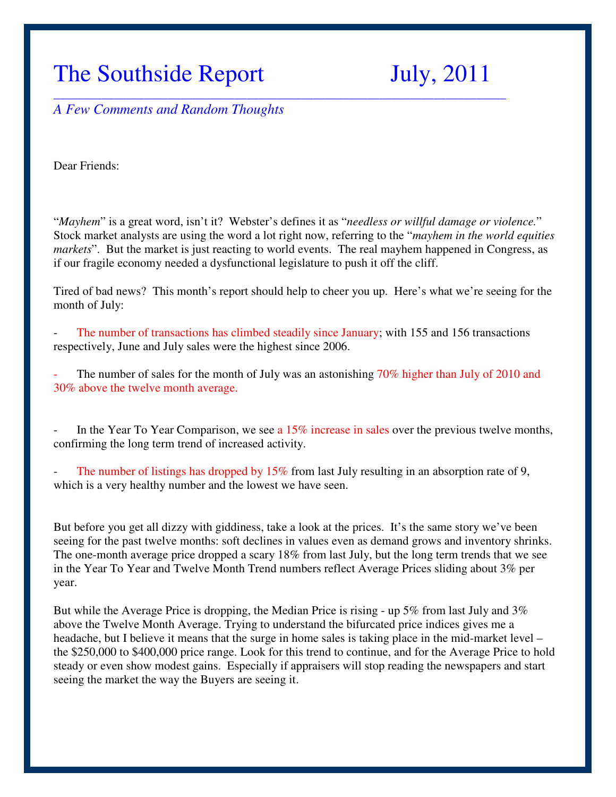# The Southside Report July, 2011

*A Few Comments and Random Thoughts* 

Dear Friends:

"*Mayhem*" is a great word, isn't it? Webster's defines it as "*needless or willful damage or violence.*" Stock market analysts are using the word a lot right now, referring to the "*mayhem in the world equities markets*". But the market is just reacting to world events. The real mayhem happened in Congress, as if our fragile economy needed a dysfunctional legislature to push it off the cliff.

\_\_\_\_\_\_\_\_\_\_\_\_\_\_\_\_\_\_\_\_\_\_\_\_\_\_\_\_\_\_\_\_\_\_\_\_\_\_\_\_\_\_\_\_\_\_\_\_\_\_\_\_\_\_\_\_\_\_\_\_\_\_\_\_\_\_\_\_\_\_\_\_\_\_\_

Tired of bad news? This month's report should help to cheer you up. Here's what we're seeing for the month of July:

The number of transactions has climbed steadily since January; with 155 and 156 transactions respectively, June and July sales were the highest since 2006.

The number of sales for the month of July was an astonishing 70% higher than July of 2010 and 30% above the twelve month average.

In the Year To Year Comparison, we see a 15% increase in sales over the previous twelve months, confirming the long term trend of increased activity.

The number of listings has dropped by  $15\%$  from last July resulting in an absorption rate of 9, which is a very healthy number and the lowest we have seen.

But before you get all dizzy with giddiness, take a look at the prices. It's the same story we've been seeing for the past twelve months: soft declines in values even as demand grows and inventory shrinks. The one-month average price dropped a scary 18% from last July, but the long term trends that we see in the Year To Year and Twelve Month Trend numbers reflect Average Prices sliding about 3% per year.

But while the Average Price is dropping, the Median Price is rising - up 5% from last July and 3% above the Twelve Month Average. Trying to understand the bifurcated price indices gives me a headache, but I believe it means that the surge in home sales is taking place in the mid-market level – the \$250,000 to \$400,000 price range. Look for this trend to continue, and for the Average Price to hold steady or even show modest gains. Especially if appraisers will stop reading the newspapers and start seeing the market the way the Buyers are seeing it.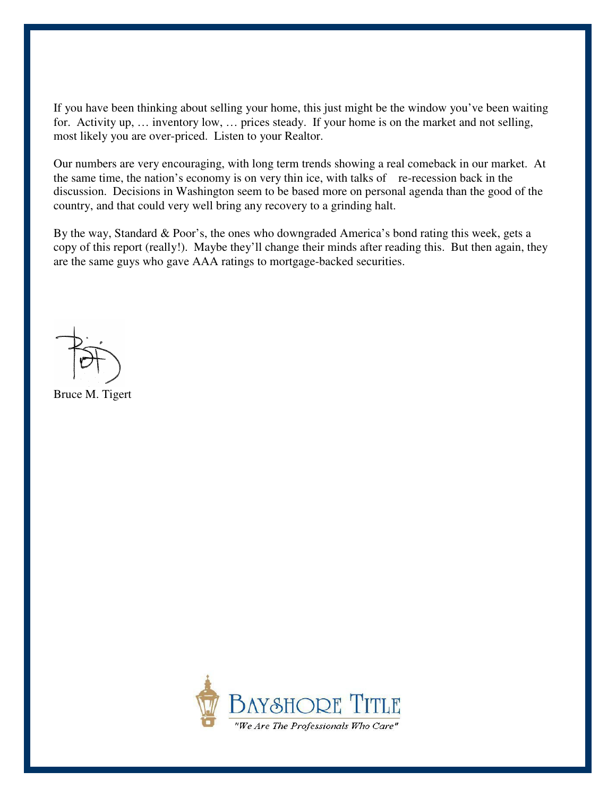If you have been thinking about selling your home, this just might be the window you've been waiting for. Activity up, … inventory low, … prices steady. If your home is on the market and not selling, most likely you are over-priced. Listen to your Realtor.

Our numbers are very encouraging, with long term trends showing a real comeback in our market. At the same time, the nation's economy is on very thin ice, with talks of re-recession back in the discussion. Decisions in Washington seem to be based more on personal agenda than the good of the country, and that could very well bring any recovery to a grinding halt.

By the way, Standard & Poor's, the ones who downgraded America's bond rating this week, gets a copy of this report (really!). Maybe they'll change their minds after reading this. But then again, they are the same guys who gave AAA ratings to mortgage-backed securities.

Bruce M. Tigert

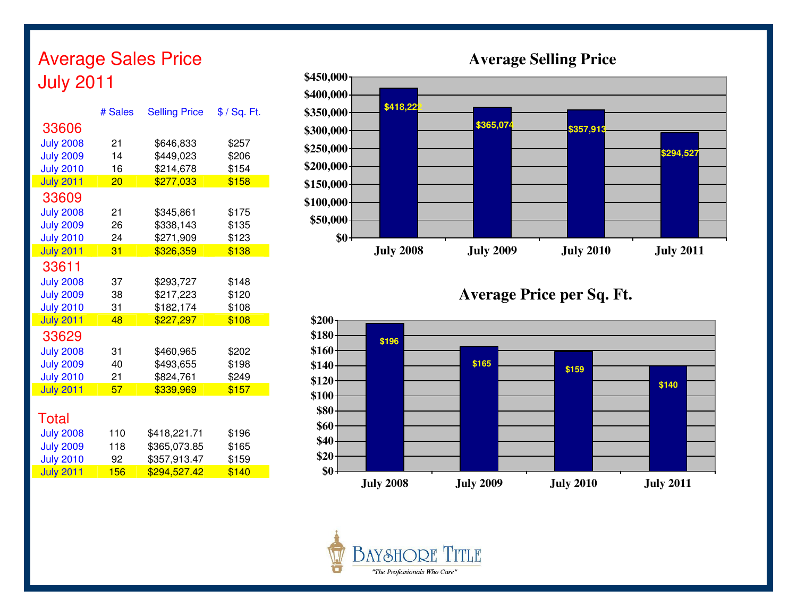# Average Sales Price July 2011

|                  | # Sales         | <b>Selling Price</b> | $$ /$ Sq. Ft. |
|------------------|-----------------|----------------------|---------------|
| 33606            |                 |                      |               |
| <b>July 2008</b> | 21              | \$646,833            | \$257         |
| <b>July 2009</b> | 14              | \$449,023            | \$206         |
| <b>July 2010</b> | 16              | \$214,678            | \$154         |
| <b>July 2011</b> | $\overline{20}$ | \$277,033            | \$158         |
| 33609            |                 |                      |               |
| <b>July 2008</b> | 21              | \$345,861            | \$175         |
| <b>July 2009</b> | 26              | \$338,143            | \$135         |
| <b>July 2010</b> | 24              | \$271,909            | \$123         |
| <b>July 2011</b> | 31              | \$326,359            | \$138         |
| 33611            |                 |                      |               |
| <b>July 2008</b> | 37              | \$293,727            | \$148         |
| <b>July 2009</b> | 38              | \$217,223            | \$120         |
| <b>July 2010</b> | 31              | \$182,174            | \$108         |
| <b>July 2011</b> | 48              | \$227,297            | \$108         |
| 33629            |                 |                      |               |
| <b>July 2008</b> | 31              | \$460,965            | \$202         |
| <b>July 2009</b> | 40              | \$493,655            | \$198         |
| <b>July 2010</b> | 21              | \$824,761            | \$249         |
| <b>July 2011</b> | 57              | \$339,969            | \$157         |
|                  |                 |                      |               |
| Total            |                 |                      |               |
| <b>July 2008</b> | 110             | \$418,221.71         | \$196         |
| <b>July 2009</b> | 118             | \$365,073.85         | \$165         |
| <b>July 2010</b> | 92              | \$357,913.47         | \$159         |

July 2011 156 \$294,527.42

<mark>2 \$140</mark>



**Selling Price Average Price per Sq. Ft.** 



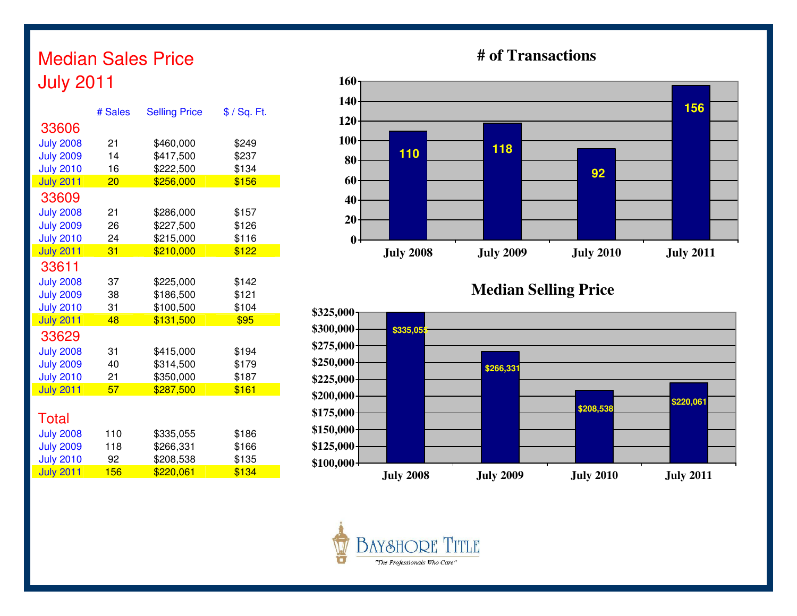# Median Sales Price July 2011

|                  | # Sales | <b>Selling Price</b> | \$ / Sq. Ft. |
|------------------|---------|----------------------|--------------|
| 33606            |         |                      |              |
| <b>July 2008</b> | 21      | \$460,000            | \$249        |
| <b>July 2009</b> | 14      | \$417,500            | \$237        |
| <b>July 2010</b> | 16      | \$222,500            | \$134        |
| <b>July 2011</b> | 20      | \$256,000            | \$156        |
| 33609            |         |                      |              |
| <b>July 2008</b> | 21      | \$286,000            | \$157        |
| <b>July 2009</b> | 26      | \$227,500            | \$126        |
| <b>July 2010</b> | 24      | \$215,000            | \$116        |
| <b>July 2011</b> | 31      | \$210,000            | \$122        |
| 33611            |         |                      |              |
| <b>July 2008</b> | 37      | \$225,000            | \$142        |
| <b>July 2009</b> | 38      | \$186,500            | \$121        |
| <b>July 2010</b> | 31      | \$100,500            | \$104        |
| <b>July 2011</b> | 48      | \$131,500            | \$95         |
| 33629            |         |                      |              |
| <b>July 2008</b> | 31      | \$415,000            | \$194        |
| <b>July 2009</b> | 40      | \$314,500            | \$179        |
| <b>July 2010</b> | 21      | \$350,000            | \$187        |
| <b>July 2011</b> | 57      | \$287,500            | \$161        |
|                  |         |                      |              |
| Total            |         |                      |              |
| <b>July 2008</b> | 110     | \$335,055            | \$186        |
| <b>July 2009</b> | 118     | \$266,331            | \$166        |
| <b>July 2010</b> | 92      | \$208,538            | \$135        |
| <b>July 2011</b> | 156     | \$220,061            | \$134        |

## **# of Transactions**



**Median Selling Price**



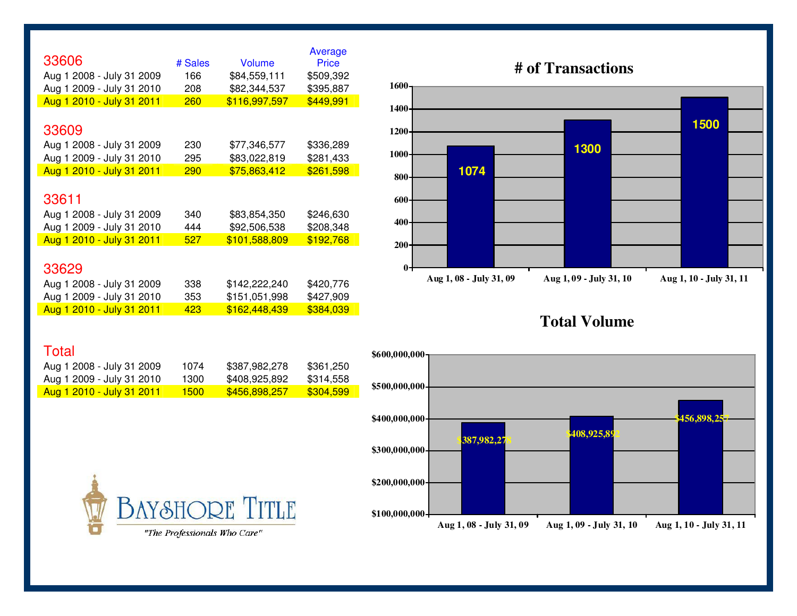| 33606                     | # Sales | <b>Volume</b> | Average<br><b>Price</b> |
|---------------------------|---------|---------------|-------------------------|
| Aug 1 2008 - July 31 2009 | 166     | \$84,559,111  | \$509,392               |
| Aug 1 2009 - July 31 2010 | 208     | \$82,344,537  | \$395,887               |
| Aug 1 2010 - July 31 2011 | 260     | \$116,997,597 | \$449,991               |
|                           |         |               |                         |
| 33609                     |         |               |                         |
| Aug 1 2008 - July 31 2009 | 230     | \$77,346,577  | \$336,289               |
| Aug 1 2009 - July 31 2010 | 295     | \$83,022,819  | \$281,433               |
| Aug 1 2010 - July 31 2011 | 290     | \$75,863,412  | \$261,598               |
|                           |         |               |                         |
| 33611                     |         |               |                         |
| Aug 1 2008 - July 31 2009 | 340     | \$83,854,350  | \$246,630               |
| Aug 1 2009 - July 31 2010 | 444     | \$92,506,538  | \$208,348               |
| Aug 1 2010 - July 31 2011 | 527     | \$101,588,809 | \$192,768               |
|                           |         |               |                         |
| 33629                     |         |               |                         |
| Aug 1 2008 - July 31 2009 | 338     | \$142,222,240 | \$420,776               |
| Aug 1 2009 - July 31 2010 | 353     | \$151,051,998 | \$427,909               |
| Aug 1 2010 - July 31 2011 | 423     | \$162,448,439 | \$384,039               |

# **# of Transactions**



### **Total Volume**

#### **Total**

| Aug 1 2008 - July 31 2009         | 1074  | \$387.982.278 | \$361.250 |
|-----------------------------------|-------|---------------|-----------|
| Aug 1 2009 - July 31 2010         | 1300  | \$408.925.892 | \$314.558 |
| <u> Aug 1 2010 - July 31 2011</u> | 1500. | \$456.898.257 | \$304.599 |

**BAY&HORE TITLE** 

"The Professionals Who Care"

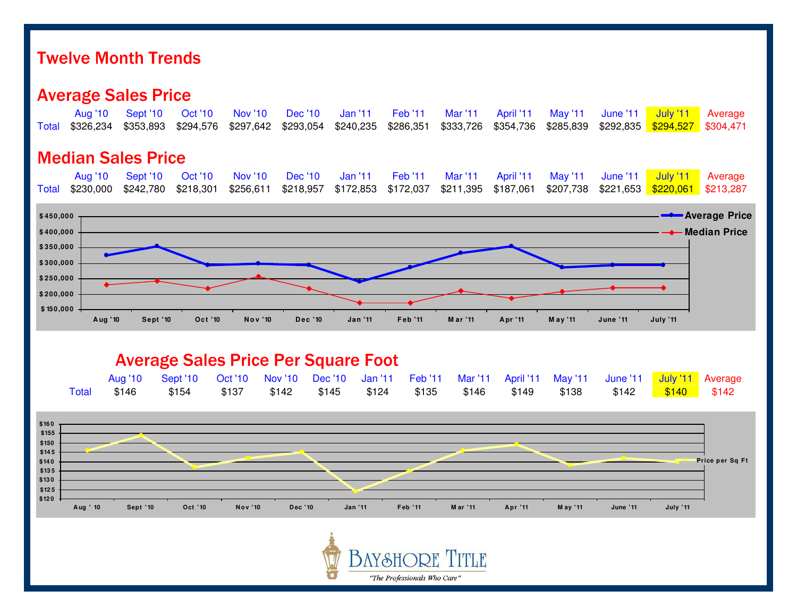## Twelve Month Trends

## Average Sales Price

| Total                                                                         | <b>Aug '10</b><br>\$326,234 | <b>Sept '10</b><br>\$353,893 | <b>Oct '10</b><br>\$294,576 | <b>Nov '10</b><br>\$297,642                                           | Dec '10<br>\$293,054        | <b>Jan '11</b><br>\$240,235                        | <b>Feb '11</b><br>\$286,351 | <b>Mar '11</b><br>\$333,726                               | April '11<br>\$354,736 | <b>May '11</b><br>\$285,839 | <b>June '11</b><br>\$292,835 | <b>July '11</b><br>\$294,527 | Average<br>\$304,471                     |
|-------------------------------------------------------------------------------|-----------------------------|------------------------------|-----------------------------|-----------------------------------------------------------------------|-----------------------------|----------------------------------------------------|-----------------------------|-----------------------------------------------------------|------------------------|-----------------------------|------------------------------|------------------------------|------------------------------------------|
|                                                                               |                             | <b>Median Sales Price</b>    |                             |                                                                       |                             |                                                    |                             |                                                           |                        |                             |                              |                              |                                          |
| Total                                                                         | <b>Aug '10</b><br>\$230,000 | Sept '10<br>\$242,780        | <b>Oct '10</b><br>\$218,301 | <b>Nov '10</b><br>\$256,611                                           | <b>Dec</b> '10<br>\$218,957 | <b>Jan '11</b><br>\$172,853                        | <b>Feb '11</b><br>\$172,037 | <b>Mar '11</b><br>\$211,395                               | April '11<br>\$187,061 | <b>May '11</b><br>\$207,738 | <b>June '11</b>              | <b>July '11</b>              | Average<br>\$213,287                     |
| \$450,000<br>\$400,000<br>\$350,000<br>\$300,000<br>\$250,000<br>\$200,000    |                             |                              |                             |                                                                       |                             |                                                    |                             |                                                           |                        |                             |                              |                              | <b>- Average Price</b><br>← Median Price |
| \$150,000                                                                     | Aug '10                     | Sept '10                     | Oct '10                     | Nov '10                                                               | Dec '10                     | <b>Jan '11</b>                                     | Feb '11                     | M ar '11                                                  | Apr '11                | M ay '11                    | <b>June '11</b>              | July '11                     |                                          |
|                                                                               | <b>Total</b>                | <b>Aug '10</b><br>\$146      | Sept '10<br>\$154           | <b>Average Sales Price Per Square Foot</b><br><b>Oct '10</b><br>\$137 | <b>Nov '10</b><br>\$142     | <b>Dec</b> '10<br><b>Jan '11</b><br>\$145<br>\$124 | <b>Feb '11</b><br>\$135     | <b>Mar '11</b><br>\$146                                   | April '11<br>\$149     | <b>May '11</b><br>\$138     | June '11<br>\$142            | <b>July '11</b><br>\$140     | Average<br>\$142                         |
| \$160<br>\$155<br>\$150<br>\$145<br>\$140<br>\$135<br>\$130<br>\$125<br>\$120 |                             |                              |                             |                                                                       |                             |                                                    |                             |                                                           |                        |                             |                              |                              | Price per Sq Ft                          |
|                                                                               | Aug ' 10                    | Sept '10                     | Oct '10                     | <b>Nov '10</b>                                                        | Dec '10                     | Jan '11                                            | Feb '11                     | M ar '11                                                  | Apr '11                | M ay '11                    | <b>June '11</b>              | July '11                     |                                          |
|                                                                               |                             |                              |                             |                                                                       |                             |                                                    |                             | <b>D</b> <i><b>Replace A Committee of Committee A</b></i> |                        |                             |                              |                              |                                          |